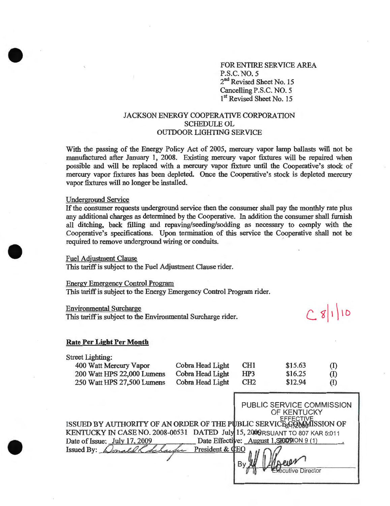FOR ENTIRE SERVICE AREA P.S.C.NO. 5 2<sup>nd</sup> Revised Sheet No. 15 Cancelling P.S.C. NO.5 1<sup>st</sup> Revised Sheet No. 15

 $C8|1|10$ 

## JACKSON ENERGY COOPERATIVE CORPORATION SCHEDULE OL OUTDOOR LIGHTING SERVICE

With the passing of the Energy Policy Act of 2005, mercury vapor lamp ballasts will not be manufactured after January **1,** 2008. Existing mercury vapor fixtures will be repaired when possible and will be replaced with a mercury vapor fixture until the Cooperative's stock of mercury vapor fixtures has been depleted. Once the Cooperative's stock is depleted mercury vapor fixtures will no longer be installed.

#### Underground Service

•

•

•

If the consumer requests underground service then the consumer shall pay the monthly rate plus any additional charges as determined by the Cooperative. In addition the consumer shall furnish all ditching, back filling and repaving/seeding/sodding as necessary to comply with the Cooperative's specifications. Upon termination of this service the Cooperative shall not be required to remove underground wiring or conduits. '

## Fuel Adjustment Clause

This tariff is subject to the Fuel Adjustment Clause rider.

#### Energy Emergency Control Program

This tariff is subject to the Energy Emergency Control Program rider.

#### Environmental Surcharge

This tariff is subject to the Environmental Surcharge rider.

# **Rate Per Light Per Month**

| <b>Street Lighting:</b> |  |  |  |
|-------------------------|--|--|--|
|-------------------------|--|--|--|

| 400 Watt Mercury Vapor     | Cobra Head Light | CH <sub>1</sub> | \$15.63 | (1)                        |
|----------------------------|------------------|-----------------|---------|----------------------------|
| 200 Watt HPS 22,000 Lumens | Cobra Head Light | HP3             | \$16.25 | (I)                        |
| 250 Watt HPS 27,500 Lumens | Cobra Head Light | CH <sub>2</sub> | \$12.94 | $\left( \mathrm{I}\right)$ |

|                                                                             | PUBLIC SERVICE COMMISSION                |
|-----------------------------------------------------------------------------|------------------------------------------|
|                                                                             | OF KENTUCKY                              |
|                                                                             |                                          |
| ISSUED BY AUTHORITY OF AN ORDER OF THE PUBLIC SERVICE GOMMISSION OF         |                                          |
| KENTUCKY IN CASE NO. 2008-00531 DATED July 15, 2009 RSUANT TO 807 KAR 5:011 |                                          |
| Date of Issue: July 17, 2009                                                | Date Effective: August 1, SEOD NON 9 (1) |
| harden President & CEO<br>Issued By:                                        |                                          |
|                                                                             |                                          |
|                                                                             |                                          |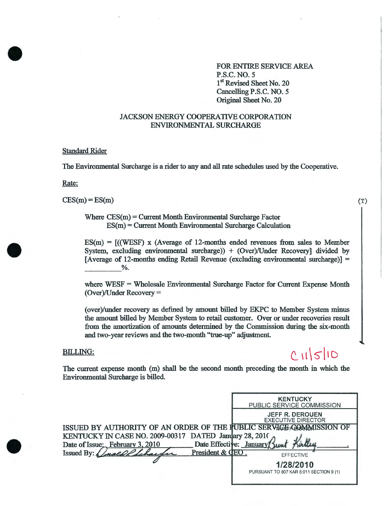FOR ENTIRE SERVICE AREA P.S.C. NO.5 1<sup>st</sup> Revised Sheet No. 20 Cancelling P.S.C. NO. 5 Original Sheet No. 20

## JACKSON ENERGY COOPERATIVE CORPORATION ENVIRONMENTAL SURCHARGE

## Standard Rider

The Environmental Surcharge is a rider to any and all rate schedules used by the Cooperative.

Rate:

•

•

•

 $CES(m) = ES(m)$ 

Where  $CES(m) = Current Month Environmental Structure Factor$ ES(m) = Current Month Environmental Surcharge Calculation

 $ES(m) = [(WEST) \times (Average \text{ of } 12\text{-months ended revenues from sales to Member})]$ System, excluding environmental surcharge)) + (Over)/Under Recovery] divided by [Average of 12-months ending Retail Revenue (excluding environmental surcharge)] =  $\frac{1}{2}$ .

where WESF = Wholesale Environmental Surcharge Factor for Current Expense Month (Over)/Under Recovery=

(over)/under recovery as defined by amount billed by EKPC to Member System minus<br>the amount billed by Member System to retail customer. Over or under recoveries result<br>from the amortization of amounts determined by the Com the amount billed by Member System to retail customer. Over or under recoveries result and two-year reviews and the two-month ''true-up" adjustment.

## BILLING:

# $CM510$

(T)

 $\overline{\phantom{a}}$ I

 $\vert$ I  $\mathbf{I}$ I

I

The current expense month (m) shall be the second month preceding the month in which the Environmental Surcharge is billed.

|                                                                     |                 | <b>KENTUCKY</b><br>PUBLIC SERVICE COMMISSION         |
|---------------------------------------------------------------------|-----------------|------------------------------------------------------|
|                                                                     |                 | <b>JEFF R. DEROUEN</b><br><b>EXECUTIVE DIRECTOR</b>  |
| ISSUED BY AUTHORITY OF AN ORDER OF THE FUBLIC SERVICE COMMISSION OF |                 |                                                      |
| KENTUCKY IN CASE NO. 2009-00317 DATED January 28, 2010              |                 |                                                      |
| Date of Issue: February 3, 2010                                     |                 | Date Effective: January                              |
| Issued By:                                                          | President & CEO | <b>EFFECTIVE</b>                                     |
|                                                                     |                 | 1/28/2010<br>PURSUANT TO 807 KAR 5:011 SECTION 9 (1) |
|                                                                     |                 |                                                      |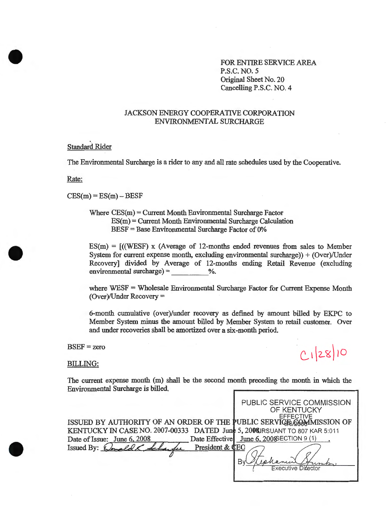FOR ENTIRE SERVICE AREA P.S.C.NO. 5 Original Sheet No. 20 Cancelling P.S.C. NO.4

# JACKSON ENERGY COOPERATIVE CORPORATION ENVIRONMENTAL SURCHARGE

Standard Rider

The Environmental Surcharge is a rider to any and all rate schedules used by the Cooperative.

Rate:

•

•

•

 $CES(m) = ES(m) - BESF$ 

Where CES(m) = Current Month Environmental Surcharge Factor  $ES(m) = Current Month Environmental Structure$  Calculation BESF = Base Environmental Surcharge Factor of 0%

 $ES(m) = [(WEST) \times (Average \text{ of } 12\text{-months ended revenues from sales to Member})]$ System for current expense month, excluding environmental surcharge)) +  $(Over)/Under$ Recovery] divided by Average of 12-months ending Retail Revenue (excluding environmental surcharge)  $=$  %.

where WESF = Wholesale Environmental Surcharge Factor for Current Expense Month (Over)/Under Recovery=

6-month cumulative ( over)/under recovery as defined by amount billed by EKPC to Member System minus the amount billed by Member System to retail customer. Over and under recoveries shall be amortized over a six-month period.

 $BSEF = zero$ 

BILLING:

 $C12810$ 

The current expense month (m) shall be the second month preceding the month in which the Environmental Surcharge is billed,

|                                                                             | PUBLIC SERVICE COMMISSION<br>OF KENTUCKY |
|-----------------------------------------------------------------------------|------------------------------------------|
| ISSUED BY AUTHORITY OF AN ORDER OF THE PUBLIC SERVICE COMMISSION OF         |                                          |
| KENTUCKY IN CASE NO. 2007-00333 DATED June 5, 2008 IRSUANT TO 807 KAR 5:011 |                                          |
| Date of Issue: June 6, 2008                                                 | Date Effective June 6, 2008 ECTION 9 (1) |
| President & CEC<br>Issued By: $\oint$                                       |                                          |
|                                                                             | Executive Difector                       |
|                                                                             |                                          |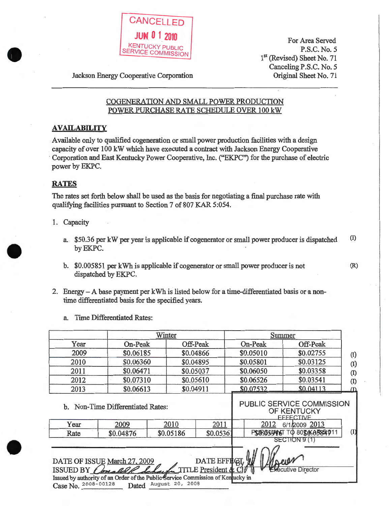

For Area Served P.S.C. No.5 1<sup>st</sup> (Revised) Sheet No. 71 Canceling P.S.C. No. 5 Original Sheet No. 71

(R)

Jackson Energy Cooperative Corporation

# COGENERATION AND SMALL POWER PRODUCTION POWER PURCHASE RATE SCHEDULE OVER 100 kW

# **AVAILABILITY**

Available only to qualified cogeneration or small power production facilities with a design capacity of over 100 kW which have executed a contract with Jackson Energy Cooperative Corporation and East Kentucky Power Cooperative, Inc. ("EKPC") for the purchase of electric power by EKPC.

# **RATES**

•

•

The rates set forth below shall be used as the basis for negotiating a final purchase rate with qualifying facilities pursuant to Section 7 of 807 KAR 5:054.

- 1. Capacity
	- a. \$50.36 per kW per year is applicable if cogenerator or small power producer is dispatched (I) byEKPC.
	- b. \$0.005851 per kWh is applicable if cogenerator or small power producer is not dispatched by EKPC.
- 2. Energy- A base payment per kWh is listed below for a time-differentiated basis or a nontime differentiated basis for the specified years.
	- a. Time Differentiated Rates:

|                                                                                                                                                                                                                                                                          |           | Winter    |           |  |           | Summer                                           |                   |
|--------------------------------------------------------------------------------------------------------------------------------------------------------------------------------------------------------------------------------------------------------------------------|-----------|-----------|-----------|--|-----------|--------------------------------------------------|-------------------|
| Year                                                                                                                                                                                                                                                                     | On-Peak   |           | Off-Peak  |  | On-Peak   | Off-Peak                                         |                   |
| 2009                                                                                                                                                                                                                                                                     | \$0.06185 |           | \$0.04866 |  | \$0.05010 | \$0.02755                                        | $\left( 1\right)$ |
| 2010                                                                                                                                                                                                                                                                     | \$0.06360 |           | \$0.04895 |  | \$0.05801 | \$0.03125                                        | $\left( 1\right)$ |
| 2011                                                                                                                                                                                                                                                                     | \$0.06471 |           | \$0.05037 |  | \$0.06050 | \$0.03358                                        | (1)               |
| 2012                                                                                                                                                                                                                                                                     | \$0.07310 |           | \$0.05610 |  | \$0.06526 | \$0.03541                                        | $\left( 1\right)$ |
| 2013                                                                                                                                                                                                                                                                     | \$0.06613 |           | \$0.04911 |  | \$0.07532 | \$0.04113                                        | $\Omega$          |
| Year                                                                                                                                                                                                                                                                     | 2009      | 2010      | 2011      |  | 2012      | OF KENTUCKY<br><b>FFFFCTIVE</b><br>6/1/2009 2013 |                   |
| Rate                                                                                                                                                                                                                                                                     | \$0.04876 | \$0.05186 | \$0.0536  |  |           | PSURG55916T TO 80\$0665854011                    | (I)               |
|                                                                                                                                                                                                                                                                          |           |           |           |  |           | SECTION 9 (1)                                    |                   |
| DATE EFFIGT<br>DATE OF ISSUE March 27, 2009<br><b>TITLE President &amp; Cl</b><br>ISSUED BY Conaldle Sch<br><b>Executive Director</b><br>Issued by authority of an Order of the Public Service Commission of Kentucky in<br>Dated August 20, 2008<br>Case No. 2008-00128 |           |           |           |  |           |                                                  |                   |

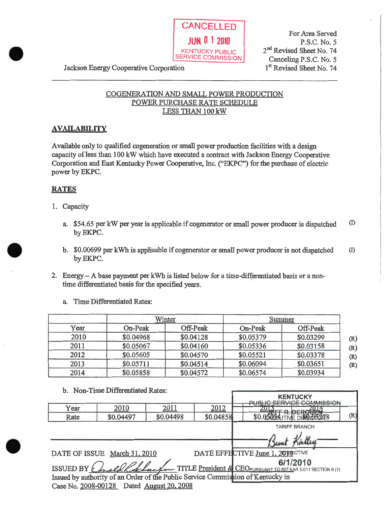

For Area Served P.S.C. No.5 2<sup>nd</sup> Revised Sheet No. 74 Canceling P.S.C. No.5 1<sup>st</sup> Revised Sheet No. 74

Jackson Energy Cooperative Corporation

# COGENERATION AND SMALL POWER PRODUCTION POWER PURCHASE RATE SCHEDULE LESS THAN 100 kW

# **AVAILABILITY**

A vailable only to qualified cogeneration or small power production facilities with a design capacity ofless than 100 kW which have executed a contract with Jackson Energy Cooperative Corporation and East Kentucky Power Cooperative, Inc. ("EKPC") for the purchase of electric power by EKPC.

# **RATES**

•

•

•

- 1. Capacity
	- a. \$54.65 per kW per year is applicable if cogenerator or small power producer is dispatched (I) by EKPC.
	- b. \$0.00699 per kWh is applicable if cogenerator or small power producer is not dispatched byEKPC. (I)
- 2. Energy- A base payment per kWh is listed below for a time-differentiated basis or a nontime differentiated basis for the specified years.
	- a. Time Differentiated Rates:

|      |           | Winter    |           | Summer    |
|------|-----------|-----------|-----------|-----------|
| Year | On-Peak   | Off-Peak  | On-Peak   | Off-Peak  |
| 2010 | \$0.04968 | \$0.04128 | \$0.05379 | \$0.03299 |
| 2011 | \$0.05067 | \$0.04160 | \$0.05336 | \$0.03158 |
| 2012 | \$0.05605 | \$0.04570 | \$0.05521 | \$0.03378 |
| 2013 | \$0.05711 | \$0.04514 | \$0.06094 | \$0.03651 |
| 2014 | \$0.05858 | \$0.04572 | \$0.06574 | \$0.03934 |

b. Non-Time Differentiated Rates:

|      |                                                                                 |           |           | <b>KENTUCKY</b><br><b>ERVICE COMMISSION</b>                                                        |     |
|------|---------------------------------------------------------------------------------|-----------|-----------|----------------------------------------------------------------------------------------------------|-----|
| Year | 2010                                                                            | 2011      | 2012      |                                                                                                    |     |
| Rate | \$0.04497                                                                       | \$0.04498 | \$0.04858 | \$0.05053 TIVE DIRECTOR8                                                                           | (R) |
|      |                                                                                 |           |           | <b>TARIFF BRANCH</b>                                                                               |     |
|      |                                                                                 |           |           |                                                                                                    |     |
|      | DATE OF ISSUE March 31, 2010                                                    |           |           | DATE EFFECTIVE June 1, 2010 CTIVE                                                                  |     |
|      |                                                                                 |           |           | 6/1/2010<br>ISSUED BY Complete Rebacto TITLE President & CEOPURSUANT TO 807 KAR 5.011 SECTION 9(1) |     |
|      | Issued by authority of an Order of the Public Service Commission of Kentucky in |           |           |                                                                                                    |     |
|      | Case No. 2008-00128 Dated August 20, 2008                                       |           |           |                                                                                                    |     |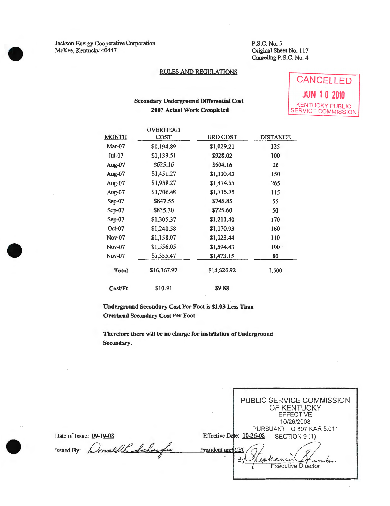Jackson Energy Cooperative Corporation McKee, Kentucky 40447

•

•

•

P.S.C.No. 5 Original Sheet No. 117 Canceling P.S.C. No. 4

## RULES AND REGULATIONS

## Secondary Underground Differential Cost 2007 Actual Work Completed

**CANCELLED JUN 1 0 2010**  KENTUCKY PUBLIC SERVICE COMMISSION

|                | <b>OVERHEAD</b> |             |                 |
|----------------|-----------------|-------------|-----------------|
| <b>MONTH</b>   | COST            | URD COST    | <b>DISTANCE</b> |
| Mar-07         | \$1,194.89      | \$1,029.21  | 125             |
| Jul-07         | \$1,133.51      | \$928.02    | 100             |
| Aug-07         | \$625.16        | \$604.16    | 20              |
| Aug-07         | \$1,451.27      | \$1,130.43  | 150             |
| Aug-07         | \$1,958.27      | \$1,474.55  | 265             |
| Aug-07         | \$1,706.48      | \$1,715.75  | 115             |
| $Sep-07$       | \$847.55        | \$745.85    | 55              |
| $Sep-07$       | \$835.30        | \$725.60    | 50              |
| Sep-07         | \$1,305.37      | \$1,211.40  | 170             |
| $Oct-07$       | \$1,240.58      | \$1,170.93  | 160             |
| Nov-07         | \$1,158.07      | \$1,023.44  | 110             |
| Nov-07         | \$1,556.05      | \$1,594.43  | 100             |
| <b>Nov-07</b>  | \$1,355.47      | \$1,473.15  | 80              |
| <b>Total</b>   | \$16,367.97     | \$14,826.92 | 1,500           |
| <b>Cost/Ft</b> | \$10.91         | \$9.88      |                 |

Underground Secondary Cost Per Foot is \$1.03 Less Than Overhead Secondary Cost Per Foot

Therefore tbere will be no charge for installation of Underground Secondary.

|                                                 | PUBLIC SERVICE COMMISSION<br>OF KENTUCKY<br><b>EFFECTIVE</b><br>10/26/2008                                                      |
|-------------------------------------------------|---------------------------------------------------------------------------------------------------------------------------------|
| Date of Issue: 09-19-08<br>wonald<br>Issued By: | PURSUANT TO 807 KAR 5:011<br>Effective Date: 10-26-08<br>SECTION 9 (1)<br>President and CE<br>impo<br><b>Executive Difector</b> |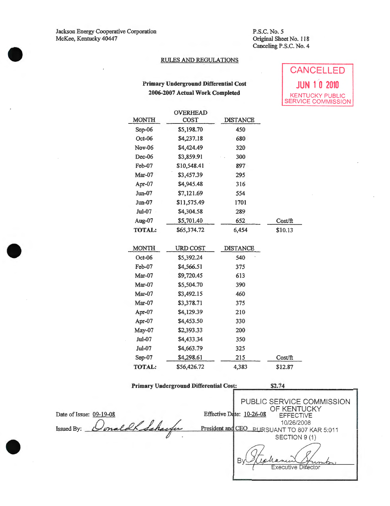Jackson Energy Cooperative Corporation McKee, Kentucky 40447

•

•

•

P.S.C.No. *5*  Original Sheet No. 118 Canceling P.S.C. No.4

## RULES AND REGULATIONS

# Primary Underground Differential Cost 2006-2007 Actual Work Completed

| CANCELLED                                    |  |  |
|----------------------------------------------|--|--|
| <b>JUN 10 2010</b>                           |  |  |
| <b>KENTUCKY PUBLIC</b><br>SERVICE COMMISSION |  |  |

| <b>MONTH</b>  | <b>OVERHEAD</b><br>COST | <b>DISTANCE</b> |         |
|---------------|-------------------------|-----------------|---------|
| $Sep-06$      | \$5,198.70              | 450             |         |
| Oct-06        | \$4,237.18              | 680             |         |
| Nov-06        | \$4,424.49              | 320             |         |
| Dec-06        | \$3,859.91              | 300             |         |
| Feb-07        | \$10,548.41             | 897             |         |
| Mar-07        | \$3,457.39              | 295             |         |
| Apr-07        | \$4,945.48              | 316             |         |
| Jun-07        | \$7,121.69              | 554             |         |
| $J$ un-07     | \$11,575.49             | 1701            |         |
| $Jul-07$      | \$4,304.58              | 289             |         |
| Aug-07        | \$5,701.40              | 652             | Cost/ft |
| TOTAL:        | \$65,374.72             | 6,454           | \$10.13 |
|               |                         |                 |         |
| <b>MONTH</b>  | URD COST                | <b>DISTANCE</b> |         |
| $Oct-06$      | \$5,392.24              | 540             |         |
| Feb-07        | \$4,566.51              | 375             |         |
| Mar-07        | \$9,720.45              | 613             |         |
| Mar-07        | \$5,504.70              | 390             |         |
| $Mar-07$      | \$3,492.15              | 460             |         |
| Mar-07        | \$3,378.71              | 375             |         |
| Apr-07        | \$4,129.39              | 210             |         |
| Apr-07        | \$4,453.50              | 330             |         |
| May-07        | \$2,393.33              | 200             |         |
| Jul-07        | \$4,433.34              | 350             |         |
| <b>Jul-07</b> | \$4,663.79              | 325             |         |
| $Sep-07$      | \$4,298.61              | 215             | Cost/ft |
| <b>TOTAL:</b> | \$56,426.72             | 4,383           | \$12.87 |

| <b>Primary Underground Differential Cost:</b> | \$2.74 |
|-----------------------------------------------|--------|
|                                               |        |

|                             |                   | PUBLIC SERVICE COMMISSION<br>OF KENTUCKY       |
|-----------------------------|-------------------|------------------------------------------------|
| Date of Issue: 09-19-08     |                   | Effective Date: 10-26-08<br><b>EFFECTIVE</b>   |
| onald Schache<br>Issued By: | President and CEO | 10/26/2008<br><b>PURSUANT TO 807 KAR 5:011</b> |
|                             |                   | SECTION 9 (1)                                  |
|                             |                   |                                                |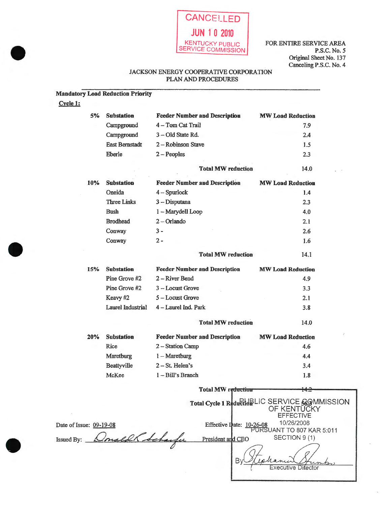

FOR ENTIRE SERVICE AREA P.S.C. No.5 Original Sheet No. 137 Canceling P.S.C. No.4

## JACKSON ENERGY COOPERATIVE CORPORATION PLAN AND PROCEDURES

## Mandatory Load Reduction Priority

Cycle 1:

•

•

•

| 5%                      | <b>Substation</b>     | <b>Feeder Number and Description</b> | <b>MW Load Reduction</b>                                                          |
|-------------------------|-----------------------|--------------------------------------|-----------------------------------------------------------------------------------|
|                         | Campground            | 4 - Tom Cat Trail                    | 7.9                                                                               |
|                         | Campground            | 3-Old State Rd.                      | 2.4                                                                               |
|                         | <b>East Bernstadt</b> | 2 - Robinson Stave                   | 1.5                                                                               |
|                         | Eberle                | $2 - Peoples$                        | 2.3                                                                               |
|                         |                       | <b>Total MW reduction</b>            | 14.0                                                                              |
| 10%                     | <b>Substation</b>     | <b>Feeder Number and Description</b> | <b>MW Load Reduction</b>                                                          |
|                         | Oneida                | $4 - Spurlock$                       | 1.4                                                                               |
|                         | <b>Three Links</b>    | 3 - Disputana                        | 2.3                                                                               |
|                         | <b>Bush</b>           | 1 - Marydell Loop                    | 4.0                                                                               |
|                         | <b>Brodhead</b>       | $2 - Orlando$                        | 2.1                                                                               |
|                         | Conway                | $3 -$                                | 2.6                                                                               |
|                         | Conway                | $2 -$                                | 1.6                                                                               |
|                         |                       | <b>Total MW reduction</b>            | 14.1                                                                              |
| 15%                     | <b>Substation</b>     | <b>Feeder Number and Description</b> | <b>MW Load Reduction</b>                                                          |
|                         | Pine Grove #2         | 2-River Bend                         | 4.9                                                                               |
|                         | Pine Grove #2         | 3 - Locust Grove                     | 3.3                                                                               |
|                         | Keavy #2              | 5 - Locust Grove                     | 2.1                                                                               |
|                         | Laurel Industrial     | 4 - Laurel Ind. Park                 | 3.8                                                                               |
|                         |                       | <b>Total MW reduction</b>            | 14.0                                                                              |
| 20%                     | <b>Substation</b>     | <b>Feeder Number and Description</b> | <b>MW Load Reduction</b>                                                          |
|                         | Rice                  | 2 - Station Camp                     | 4.6                                                                               |
|                         | Maretburg             | $1 -$ Maretburg                      | 4.4                                                                               |
|                         | Beattyville           | 2-St. Helen's                        | 3.4                                                                               |
|                         | McKee                 | 1-Bill's Branch                      | 1.8                                                                               |
|                         |                       | <b>Total MW reduction</b>            | 14.2                                                                              |
|                         |                       |                                      | Total Cycle 1 Reduction LIC SERVICE GOMMISSION<br>OF KENTUCKY<br><b>EFFECTIVE</b> |
| Date of Issue: 09-19-08 |                       | Effective Date: 10-26-08             | 10/26/2008                                                                        |
| Issued By:              | maldh Scharfe         | President and CEO                    | PURSUANT TO 807 KAR 5:011<br>SECTION 9 (1)                                        |
|                         |                       |                                      |                                                                                   |

By!

Cephanic

Executive Difector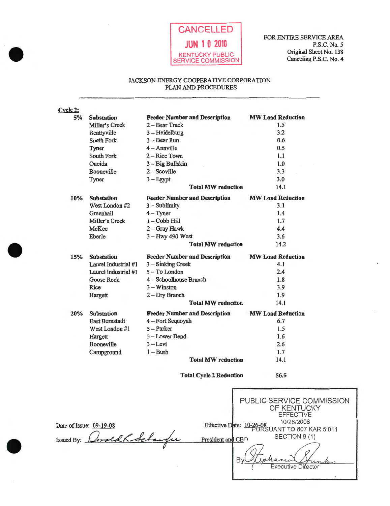

## JACKSON ENERGY COOPERATIVE CORPORATION PLAN AND PROCEDURES

| <b>Feeder Number and Description</b><br><b>MW Load Reduction</b><br>5%<br><b>Substation</b><br>2-Bear Track<br>$1.5^{\circ}$<br>Miller's Creek<br>3.2<br>$3 - Heidelberg$<br>Beattyville<br>0.6<br>South Fork<br>$1 -$ Bear Run<br>0.5<br>$4 -$ Annville<br>Tyner<br>1.1<br>2 – Rice Town<br>South Fork<br>1.0<br>Oneida<br>3 - Big Bullskin<br>3.3<br>$2 - Scoville$<br>Booneville |
|-------------------------------------------------------------------------------------------------------------------------------------------------------------------------------------------------------------------------------------------------------------------------------------------------------------------------------------------------------------------------------------|
|                                                                                                                                                                                                                                                                                                                                                                                     |
|                                                                                                                                                                                                                                                                                                                                                                                     |
|                                                                                                                                                                                                                                                                                                                                                                                     |
|                                                                                                                                                                                                                                                                                                                                                                                     |
|                                                                                                                                                                                                                                                                                                                                                                                     |
|                                                                                                                                                                                                                                                                                                                                                                                     |
|                                                                                                                                                                                                                                                                                                                                                                                     |
|                                                                                                                                                                                                                                                                                                                                                                                     |
| 3.0<br>$3 - Egypt$<br>Tyner                                                                                                                                                                                                                                                                                                                                                         |
| 14.1<br><b>Total MW reduction</b>                                                                                                                                                                                                                                                                                                                                                   |
| <b>MW Load Reduction</b><br><b>Feeder Number and Description</b><br><b>Substation</b><br>10%                                                                                                                                                                                                                                                                                        |
| 3.1<br>West London #2<br>$3 -$ Sublimity                                                                                                                                                                                                                                                                                                                                            |
| 1.4<br>Greenhall<br>$4 - Typer$                                                                                                                                                                                                                                                                                                                                                     |
| 1.7<br>Miller's Creek<br>$1 - \text{Cobb Hill}$                                                                                                                                                                                                                                                                                                                                     |
| 4.4<br>McKee<br>2-Gray Hawk                                                                                                                                                                                                                                                                                                                                                         |
| 3.6<br>3 - Hwy 490 West<br>Eberle                                                                                                                                                                                                                                                                                                                                                   |
| 14.2<br><b>Total MW reduction</b>                                                                                                                                                                                                                                                                                                                                                   |
| <b>MW Load Reduction</b><br><b>Substation</b><br><b>Feeder Number and Description</b><br>15%                                                                                                                                                                                                                                                                                        |
| Laurel Industrial #1<br>4.1<br>3 - Sinking Creek                                                                                                                                                                                                                                                                                                                                    |
| 2.4<br>5-To London<br>Laurel Industrial #1                                                                                                                                                                                                                                                                                                                                          |
| 4 - Schoolhouse Branch<br>1.8<br>Goose Rock                                                                                                                                                                                                                                                                                                                                         |
| $3 -$ Winston<br>3.9<br>Rice                                                                                                                                                                                                                                                                                                                                                        |
| 1.9<br>2-Dry Branch<br>Hargett                                                                                                                                                                                                                                                                                                                                                      |
| 14.1<br><b>Total MW reduction</b>                                                                                                                                                                                                                                                                                                                                                   |
| <b>MW Load Reduction</b><br><b>Feeder Number and Description</b><br>20%<br><b>Substation</b>                                                                                                                                                                                                                                                                                        |
| 6.7<br>4 - Fort Sequoyah<br>East Bernstadt                                                                                                                                                                                                                                                                                                                                          |
| 1.5<br>5 - Parker<br>West London #1                                                                                                                                                                                                                                                                                                                                                 |
| 3 - Lower Bend<br>1.6                                                                                                                                                                                                                                                                                                                                                               |
| 2.6<br>Booneville<br>3 – Levi                                                                                                                                                                                                                                                                                                                                                       |
| 1.7<br>$1 - Bush$                                                                                                                                                                                                                                                                                                                                                                   |
| 14.1<br><b>Total MW reduction</b>                                                                                                                                                                                                                                                                                                                                                   |
| 56.5<br><b>Total Cycle 2 Reduction</b>                                                                                                                                                                                                                                                                                                                                              |
| Hargett<br>Campground<br>PUBLIC SERVICE COMMIS<br>OF KENTUCKY<br><b>EFFECTIVE</b>                                                                                                                                                                                                                                                                                                   |
| 10/26/2008<br>Effective Date: 10-26-08 LIANIT TO ROZ KAR 5.0<br>Date of Issue: 09-19-08                                                                                                                                                                                                                                                                                             |

SSION Date of Issue: 09-19-08<br>Issued By: Consider Schaughe ANT TO 807 KAR 5:011<br>SECTION 9 (1) President and CEO By hanei umbo **Executive Director**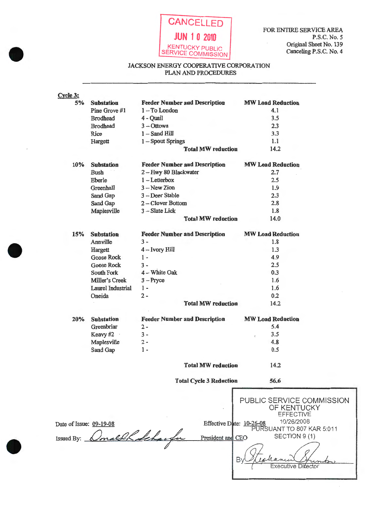

•

•

**•** 

## JACKSON ENERGY COOPERATfVE CORPORATION PLAN AND PROCEDURES

| Cycle 3:                |                   |                                      |                                |                                          |  |
|-------------------------|-------------------|--------------------------------------|--------------------------------|------------------------------------------|--|
| 5%                      | <b>Substation</b> | <b>Feeder Number and Description</b> |                                | <b>MW Load Reduction</b>                 |  |
|                         | Pine Grove #1     | 1-To London                          |                                | 4.1                                      |  |
|                         | <b>Brodhead</b>   | 4 - Quail                            |                                | 3.5                                      |  |
|                         | <b>Brodhead</b>   | $3 - Ottowa$                         |                                | 2.3                                      |  |
|                         | Rice              | $1 -$ Sand Hill                      |                                | 3.3                                      |  |
|                         | Hargett           | 1-Spout Springs                      |                                | 1.1                                      |  |
|                         |                   |                                      | <b>Total MW reduction</b>      | 14.2                                     |  |
| 10%                     | <b>Substation</b> | <b>Feeder Number and Description</b> |                                | <b>MW Load Reduction</b>                 |  |
|                         | <b>Bush</b>       | 2-Hwy 80 Blackwater                  |                                | 2.7                                      |  |
|                         | Eberle            | $1$ - Letterbox                      |                                | 2.5                                      |  |
|                         | Greenhall         | $3 - New Zion$                       |                                | 1.9                                      |  |
|                         | Sand Gap          | 3 - Deer Stable                      |                                | 2.3                                      |  |
|                         | Sand Gap          | 2-Clover Bottom                      |                                | 2.8                                      |  |
|                         | Maplesville       | 3 - Slate Lick                       |                                | 1.8                                      |  |
|                         |                   |                                      | <b>Total MW reduction</b>      | 14.0                                     |  |
| 15%                     | <b>Substation</b> | <b>Feeder Number and Description</b> |                                | <b>MW Load Reduction</b>                 |  |
|                         | Annville          | $3 -$                                |                                | 1.8                                      |  |
|                         | Hargett           | 4 - Ivory Hill                       |                                | 1.3                                      |  |
|                         | <b>Goose Rock</b> | 1 -                                  |                                | 4.9                                      |  |
|                         | <b>Goose Rock</b> | $3 -$                                |                                | 2.5                                      |  |
|                         | South Fork        | 4 - White Oak                        |                                | 0.3                                      |  |
|                         | Miller's Creek    | $3 - Pryce$                          |                                | 1.6                                      |  |
|                         | Laurel Industrial | $1 -$                                |                                | 1.6                                      |  |
|                         | Oneida            | $2 -$                                |                                | 0.2                                      |  |
|                         |                   |                                      | <b>Total MW reduction</b>      | 14.2                                     |  |
| 20%                     | <b>Substation</b> | <b>Feeder Number and Description</b> |                                | <b>MW Load Reduction</b>                 |  |
|                         | Greenbriar        | $2 -$                                |                                | 5.4                                      |  |
|                         | Keavy #2          | $3 -$                                |                                | 3.5<br>ł                                 |  |
|                         | Maplesville       | $2 -$                                |                                | 4.8                                      |  |
|                         | Sand Gap          | $1 -$                                |                                | 0.5                                      |  |
|                         |                   |                                      |                                |                                          |  |
|                         |                   |                                      | <b>Total MW reduction</b>      | 14.2                                     |  |
|                         |                   |                                      | <b>Total Cycle 3 Reduction</b> | 56.6                                     |  |
|                         |                   |                                      |                                |                                          |  |
|                         |                   |                                      |                                | PUBLIC SERVICE COMMISSION<br>OF KENTUCKY |  |
|                         |                   |                                      |                                | <b>EFFECTIVE</b>                         |  |
|                         |                   |                                      |                                | 10/26/2008                               |  |
| Date of Issue: 09-19-08 |                   |                                      | Effective Date: 10-26-08       | PURSUANT TO 807 KAR 5:011                |  |
|                         |                   | with Schaugh                         | President and CEC)             | SECTION 9 (1)                            |  |
| Issued By               |                   |                                      |                                |                                          |  |
|                         |                   |                                      |                                |                                          |  |
|                         |                   |                                      |                                |                                          |  |
|                         |                   |                                      |                                |                                          |  |
|                         |                   |                                      |                                |                                          |  |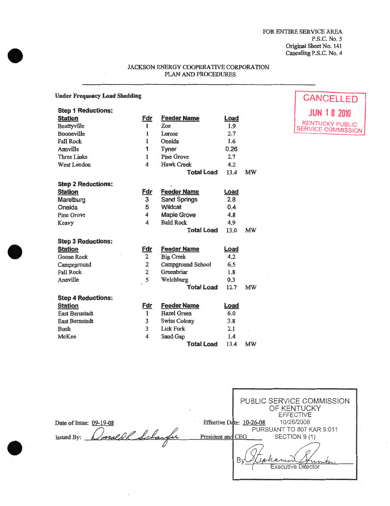FOR ENTIRE SERVICE AREA P.S.C.No. 5 Original Sheet No. 141 Canceling P.S.C. No. 4

## JACKSON ENERGY COOPERATIVE CORPORATION PLAN AND PROCEDURES

#### Under Frequency Load Shedding

| <b>Step 1 Reductions:</b> |                |                     |             |    |
|---------------------------|----------------|---------------------|-------------|----|
| <b>Station</b>            | Fdr            | <b>Feeder Name</b>  | <u>Load</u> |    |
| Beattyville               | 1              | Zoe                 | 1.9         |    |
| Booneville                | 1              | Lerose              | 2.7         |    |
| <b>Fall Rock</b>          | 1              | Oneida              | 1.6         |    |
| Annville                  | 1              | Tyner               | 0.26        |    |
| <b>Three Links</b>        | 1              | <b>Pine Grove</b>   | 2.7         |    |
| West London               | 4              | <b>Hawk Creek</b>   | 4.2         |    |
|                           |                | <b>Total Load</b>   | 13.4        | MW |
| <b>Step 2 Reductions:</b> |                |                     |             |    |
| <b>Station</b>            | <u>Fdr</u>     | <b>Feeder Name</b>  | Load        |    |
| Maretburg                 | 3              | <b>Sand Springs</b> | 2.8         |    |
| Oneida                    | 5              | Wildcat             | 0.4         |    |
| Pine Grove                | 4              | <b>Maple Grove</b>  | 4.8         |    |
| Keavy                     | 4              | <b>Bald Rock</b>    | 4.9         |    |
|                           |                | <b>Total Load</b>   | 13.0        | MW |
| <b>Step 3 Reductions:</b> |                |                     |             |    |
| <b>Station</b>            | <u>Fdr</u>     | <b>Feeder Name</b>  | Load        |    |
| <b>Goose Rock</b>         | $\overline{2}$ | <b>Big Creek</b>    | 4.2         |    |
| Camprground               | $\overline{2}$ | Campground School   | 6.5         |    |
| <b>Fall Rock</b>          | $\overline{2}$ | Greenbriar          | 1.8         |    |
| Annville                  | 5              | Welchburg           | 0.3         |    |
|                           |                | <b>Total Load</b>   | 12.7        | MW |
| <b>Step 4 Reductions:</b> |                |                     |             |    |
| <b>Station</b>            | <u>Fdr</u>     | <b>Feeder Name</b>  | Load        |    |
| <b>East Bernstadt</b>     | 1              | <b>Hazel Green</b>  | 6.0         |    |
| <b>East Bernstadt</b>     | 3              | <b>Swiss Colony</b> | 3.8         |    |
| <b>Bush</b>               | 3              | <b>Lick Fork</b>    | 2.1         |    |
| McKee                     | 4              | Sand Gap            | 1.4         |    |
|                           |                | <b>Total Load</b>   | 13.4        | MW |

PUBLIC SERVICE COMMISSION OF KENTUCKY EFFECTIVE Effective Date: 10-26-08 10/26/2008 Date of Issue: 09-19-08 Donald R Schaufer PURSUANT TO 807 KAR 5:011 SECTION 9 (1) Issued By: President and CEO By hanner Cancer China





•